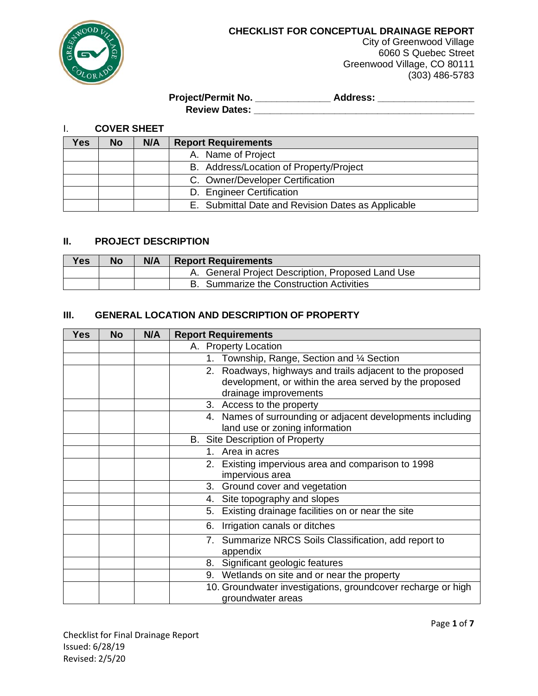

City of Greenwood Village 6060 S Quebec Street Greenwood Village, CO 80111 (303) 486-5783

### **Project/Permit No. \_\_\_\_\_\_\_\_\_\_\_\_\_\_ Address: \_\_\_\_\_\_\_\_\_\_\_\_\_\_\_\_\_\_ Review Dates: \_\_\_\_\_\_\_\_\_\_\_\_\_\_\_\_\_\_\_\_\_\_\_\_\_\_\_\_\_\_\_\_\_\_\_\_\_\_\_\_\_**

I. **COVER SHEET**

| Yes | <b>No</b> | N/A | <b>Report Requirements</b>                         |
|-----|-----------|-----|----------------------------------------------------|
|     |           |     | A. Name of Project                                 |
|     |           |     | B. Address/Location of Property/Project            |
|     |           |     | C. Owner/Developer Certification                   |
|     |           |     | D. Engineer Certification                          |
|     |           |     | E. Submittal Date and Revision Dates as Applicable |

## **II. PROJECT DESCRIPTION**

| <b>Yes</b> | No | N/A | <b>Report Requirements</b>                        |
|------------|----|-----|---------------------------------------------------|
|            |    |     | A. General Project Description, Proposed Land Use |
|            |    |     | B. Summarize the Construction Activities          |

# **III. GENERAL LOCATION AND DESCRIPTION OF PROPERTY**

| <b>Yes</b> | <b>No</b> | N/A | <b>Report Requirements</b>                                        |
|------------|-----------|-----|-------------------------------------------------------------------|
|            |           |     | A. Property Location                                              |
|            |           |     | Township, Range, Section and 1/4 Section<br>1.                    |
|            |           |     | 2. Roadways, highways and trails adjacent to the proposed         |
|            |           |     | development, or within the area served by the proposed            |
|            |           |     | drainage improvements                                             |
|            |           |     | 3. Access to the property                                         |
|            |           |     | 4. Names of surrounding or adjacent developments including        |
|            |           |     | land use or zoning information                                    |
|            |           |     | <b>B.</b> Site Description of Property                            |
|            |           |     | 1. Area in acres                                                  |
|            |           |     | Existing impervious area and comparison to 1998<br>2.             |
|            |           |     | impervious area                                                   |
|            |           |     | 3. Ground cover and vegetation                                    |
|            |           |     | 4. Site topography and slopes                                     |
|            |           |     | Existing drainage facilities on or near the site<br>5.            |
|            |           |     | Irrigation canals or ditches<br>6.                                |
|            |           |     | 7. Summarize NRCS Soils Classification, add report to<br>appendix |
|            |           |     | 8. Significant geologic features                                  |
|            |           |     | 9. Wetlands on site and or near the property                      |
|            |           |     | 10. Groundwater investigations, groundcover recharge or high      |
|            |           |     | groundwater areas                                                 |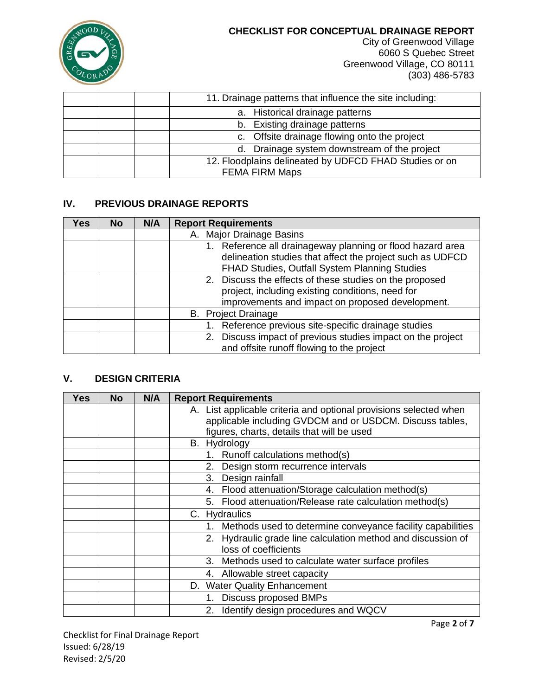

City of Greenwood Village 6060 S Quebec Street Greenwood Village, CO 80111 (303) 486-5783

|  | 11. Drainage patterns that influence the site including: |
|--|----------------------------------------------------------|
|  | a. Historical drainage patterns                          |
|  | b. Existing drainage patterns                            |
|  | c. Offsite drainage flowing onto the project             |
|  | d. Drainage system downstream of the project             |
|  | 12. Floodplains delineated by UDFCD FHAD Studies or on   |
|  | <b>FEMA FIRM Maps</b>                                    |

## **IV. PREVIOUS DRAINAGE REPORTS**

| Yes | <b>No</b> | N/A | <b>Report Requirements</b>                                                                                                                                               |
|-----|-----------|-----|--------------------------------------------------------------------------------------------------------------------------------------------------------------------------|
|     |           |     | A. Major Drainage Basins                                                                                                                                                 |
|     |           |     | 1. Reference all drainageway planning or flood hazard area<br>delineation studies that affect the project such as UDFCD<br>FHAD Studies, Outfall System Planning Studies |
|     |           |     | 2. Discuss the effects of these studies on the proposed<br>project, including existing conditions, need for<br>improvements and impact on proposed development.          |
|     |           |     | <b>B.</b> Project Drainage                                                                                                                                               |
|     |           |     | 1. Reference previous site-specific drainage studies                                                                                                                     |
|     |           |     | 2. Discuss impact of previous studies impact on the project<br>and offsite runoff flowing to the project                                                                 |

# **V. DESIGN CRITERIA**

| Yes | <b>No</b> | N/A | <b>Report Requirements</b>                                        |
|-----|-----------|-----|-------------------------------------------------------------------|
|     |           |     | A. List applicable criteria and optional provisions selected when |
|     |           |     | applicable including GVDCM and or USDCM. Discuss tables,          |
|     |           |     | figures, charts, details that will be used                        |
|     |           |     | B. Hydrology                                                      |
|     |           |     | 1. Runoff calculations method(s)                                  |
|     |           |     | Design storm recurrence intervals<br>2.                           |
|     |           |     | Design rainfall<br>3.                                             |
|     |           |     | Flood attenuation/Storage calculation method(s)<br>4.             |
|     |           |     | Flood attenuation/Release rate calculation method(s)<br>5.        |
|     |           |     | C. Hydraulics                                                     |
|     |           |     | Methods used to determine conveyance facility capabilities        |
|     |           |     | 2. Hydraulic grade line calculation method and discussion of      |
|     |           |     | loss of coefficients                                              |
|     |           |     | Methods used to calculate water surface profiles<br>3.            |
|     |           |     | 4. Allowable street capacity                                      |
|     |           |     | D. Water Quality Enhancement                                      |
|     |           |     | <b>Discuss proposed BMPs</b><br>1.                                |
|     |           |     | Identify design procedures and WQCV                               |

Page **2** of **7**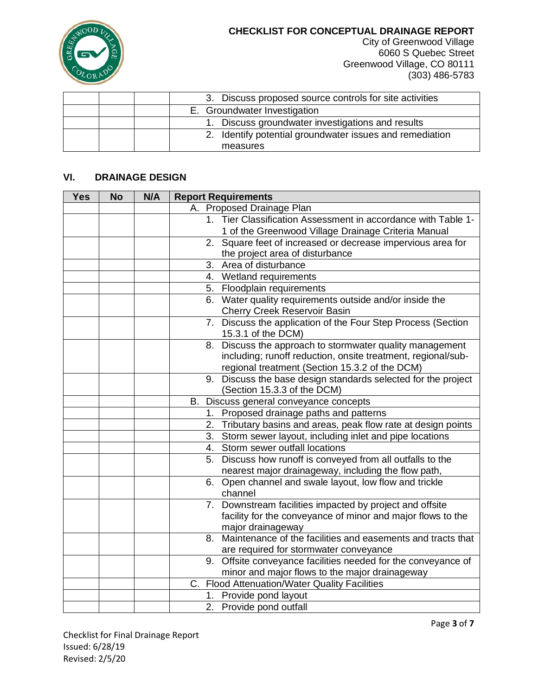

City of Greenwood Village 6060 S Quebec Street Greenwood Village, CO 80111 (303) 486-5783

| 3. Discuss proposed source controls for site activities     |
|-------------------------------------------------------------|
| E. Groundwater Investigation                                |
| 1. Discuss groundwater investigations and results           |
| Identify potential groundwater issues and remediation<br>2. |
| measures                                                    |

## **VI. DRAINAGE DESIGN**

| <b>Yes</b> | <b>No</b> | N/A | <b>Report Requirements</b>                                       |
|------------|-----------|-----|------------------------------------------------------------------|
|            |           |     | A. Proposed Drainage Plan                                        |
|            |           |     | Tier Classification Assessment in accordance with Table 1-<br>1. |
|            |           |     | 1 of the Greenwood Village Drainage Criteria Manual              |
|            |           |     | 2. Square feet of increased or decrease impervious area for      |
|            |           |     | the project area of disturbance                                  |
|            |           |     | 3.<br>Area of disturbance                                        |
|            |           |     | 4. Wetland requirements                                          |
|            |           |     | 5. Floodplain requirements                                       |
|            |           |     | 6. Water quality requirements outside and/or inside the          |
|            |           |     | Cherry Creek Reservoir Basin                                     |
|            |           |     | 7. Discuss the application of the Four Step Process (Section     |
|            |           |     | 15.3.1 of the DCM)                                               |
|            |           |     | Discuss the approach to stormwater quality management<br>8.      |
|            |           |     | including; runoff reduction, onsite treatment, regional/sub-     |
|            |           |     | regional treatment (Section 15.3.2 of the DCM)                   |
|            |           |     | 9. Discuss the base design standards selected for the project    |
|            |           |     | (Section 15.3.3 of the DCM)                                      |
|            |           |     | B. Discuss general conveyance concepts                           |
|            |           |     | 1. Proposed drainage paths and patterns                          |
|            |           |     | 2. Tributary basins and areas, peak flow rate at design points   |
|            |           |     | 3. Storm sewer layout, including inlet and pipe locations        |
|            |           |     | 4. Storm sewer outfall locations                                 |
|            |           |     | 5. Discuss how runoff is conveyed from all outfalls to the       |
|            |           |     | nearest major drainageway, including the flow path,              |
|            |           |     | 6. Open channel and swale layout, low flow and trickle           |
|            |           |     | channel                                                          |
|            |           |     | 7. Downstream facilities impacted by project and offsite         |
|            |           |     | facility for the conveyance of minor and major flows to the      |
|            |           |     | major drainageway                                                |
|            |           |     | 8. Maintenance of the facilities and easements and tracts that   |
|            |           |     | are required for stormwater conveyance                           |
|            |           |     | 9. Offsite conveyance facilities needed for the conveyance of    |
|            |           |     | minor and major flows to the major drainageway                   |
|            |           |     | C. Flood Attenuation/Water Quality Facilities                    |
|            |           |     | Provide pond layout<br>1.                                        |
|            |           |     | 2. Provide pond outfall                                          |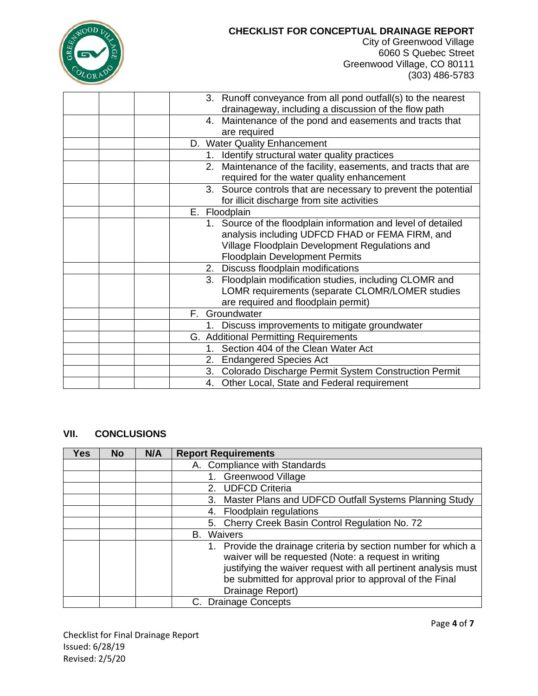

City of Greenwood Village 6060 S Quebec Street Greenwood Village, CO 80111 (303) 486-5783

| 3. Runoff conveyance from all pond outfall(s) to the nearest      |
|-------------------------------------------------------------------|
| drainageway, including a discussion of the flow path              |
| 4. Maintenance of the pond and easements and tracts that          |
| are required                                                      |
| D. Water Quality Enhancement                                      |
| Identify structural water quality practices<br>1.                 |
| Maintenance of the facility, easements, and tracts that are<br>2. |
| required for the water quality enhancement                        |
| 3. Source controls that are necessary to prevent the potential    |
| for illicit discharge from site activities                        |
| E. Floodplain                                                     |
| 1. Source of the floodplain information and level of detailed     |
| analysis including UDFCD FHAD or FEMA FIRM, and                   |
| Village Floodplain Development Regulations and                    |
| <b>Floodplain Development Permits</b>                             |
| 2. Discuss floodplain modifications                               |
| 3. Floodplain modification studies, including CLOMR and           |
| LOMR requirements (separate CLOMR/LOMER studies                   |
| are required and floodplain permit)                               |
| Groundwater<br>F.                                                 |
| Discuss improvements to mitigate groundwater                      |
| G. Additional Permitting Requirements                             |
| 1. Section 404 of the Clean Water Act                             |
| 2. Endangered Species Act                                         |
| Colorado Discharge Permit System Construction Permit<br>3.        |
| 4. Other Local, State and Federal requirement                     |

#### **VII. CONCLUSIONS**

| <b>Yes</b> | <b>No</b> | N/A | <b>Report Requirements</b>                                                                                                                                                                                                                                            |
|------------|-----------|-----|-----------------------------------------------------------------------------------------------------------------------------------------------------------------------------------------------------------------------------------------------------------------------|
|            |           |     | A. Compliance with Standards                                                                                                                                                                                                                                          |
|            |           |     | Greenwood Village                                                                                                                                                                                                                                                     |
|            |           |     | <b>UDFCD Criteria</b><br>2.                                                                                                                                                                                                                                           |
|            |           |     | Master Plans and UDFCD Outfall Systems Planning Study<br>3.                                                                                                                                                                                                           |
|            |           |     | Floodplain regulations<br>4.                                                                                                                                                                                                                                          |
|            |           |     | 5. Cherry Creek Basin Control Regulation No. 72                                                                                                                                                                                                                       |
|            |           |     | Waivers<br>В.                                                                                                                                                                                                                                                         |
|            |           |     | Provide the drainage criteria by section number for which a<br>waiver will be requested (Note: a request in writing<br>justifying the waiver request with all pertinent analysis must<br>be submitted for approval prior to approval of the Final<br>Drainage Report) |
|            |           |     | C. Drainage Concepts                                                                                                                                                                                                                                                  |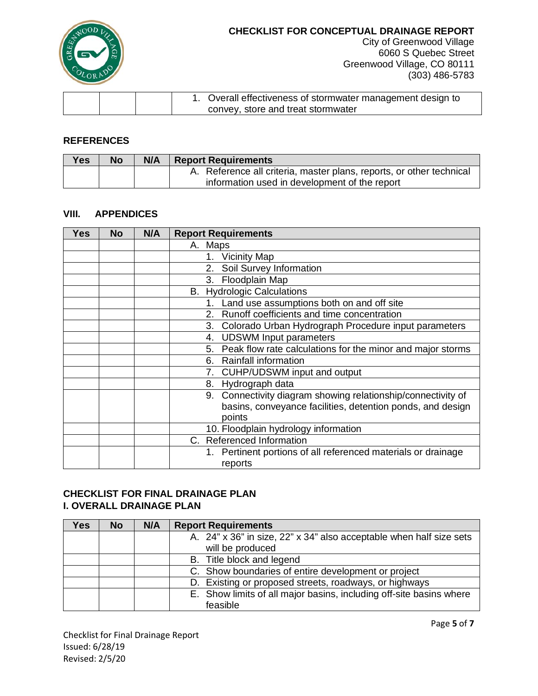

City of Greenwood Village 6060 S Quebec Street Greenwood Village, CO 80111 (303) 486-5783

|  | 1. Overall effectiveness of stormwater management design to |
|--|-------------------------------------------------------------|
|  | convey, store and treat stormwater                          |

#### **REFERENCES**

| <b>Yes</b> | <b>No</b> | N/A | <b>Report Requirements</b>                                           |
|------------|-----------|-----|----------------------------------------------------------------------|
|            |           |     | A. Reference all criteria, master plans, reports, or other technical |
|            |           |     | information used in development of the report                        |

#### **VIII. APPENDICES**

| Yes | <b>No</b> | N/A | <b>Report Requirements</b>                                    |
|-----|-----------|-----|---------------------------------------------------------------|
|     |           |     | A. Maps                                                       |
|     |           |     | 1. Vicinity Map                                               |
|     |           |     | Soil Survey Information<br>2.                                 |
|     |           |     | 3. Floodplain Map                                             |
|     |           |     | <b>B.</b> Hydrologic Calculations                             |
|     |           |     | Land use assumptions both on and off site<br>1.               |
|     |           |     | Runoff coefficients and time concentration<br>$2_{-}$         |
|     |           |     | Colorado Urban Hydrograph Procedure input parameters<br>3.    |
|     |           |     | <b>UDSWM Input parameters</b><br>4.                           |
|     |           |     | 5. Peak flow rate calculations for the minor and major storms |
|     |           |     | <b>Rainfall information</b><br>6.                             |
|     |           |     | CUHP/UDSWM input and output<br>7.                             |
|     |           |     | 8. Hydrograph data                                            |
|     |           |     | 9. Connectivity diagram showing relationship/connectivity of  |
|     |           |     | basins, conveyance facilities, detention ponds, and design    |
|     |           |     | points                                                        |
|     |           |     | 10. Floodplain hydrology information                          |
|     |           |     | C. Referenced Information                                     |
|     |           |     | 1. Pertinent portions of all referenced materials or drainage |
|     |           |     | reports                                                       |

#### **CHECKLIST FOR FINAL DRAINAGE PLAN I. OVERALL DRAINAGE PLAN**

| Yes | <b>No</b> | N/A | <b>Report Requirements</b>                                          |
|-----|-----------|-----|---------------------------------------------------------------------|
|     |           |     | A. 24" x 36" in size, 22" x 34" also acceptable when half size sets |
|     |           |     | will be produced                                                    |
|     |           |     | B. Title block and legend                                           |
|     |           |     | C. Show boundaries of entire development or project                 |
|     |           |     | D. Existing or proposed streets, roadways, or highways              |
|     |           |     | E. Show limits of all major basins, including off-site basins where |
|     |           |     | feasible                                                            |

Checklist for Final Drainage Report Issued: 6/28/19 Revised: 2/5/20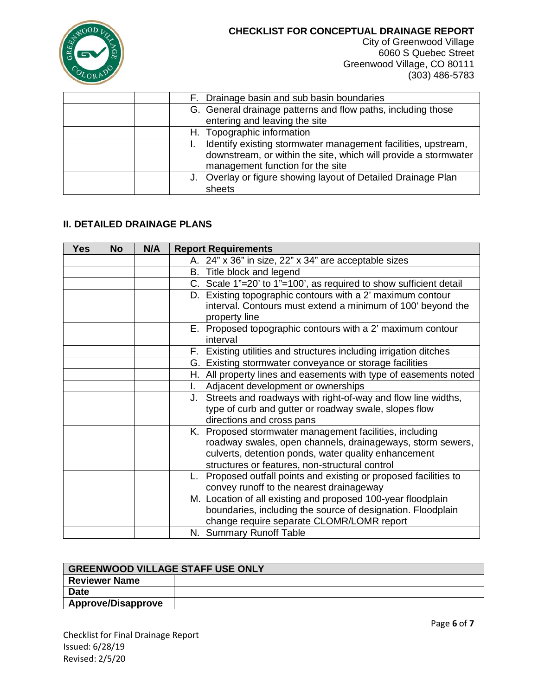

City of Greenwood Village 6060 S Quebec Street Greenwood Village, CO 80111 (303) 486-5783

|  | F. Drainage basin and sub basin boundaries                                                                                                                           |
|--|----------------------------------------------------------------------------------------------------------------------------------------------------------------------|
|  | G. General drainage patterns and flow paths, including those<br>entering and leaving the site                                                                        |
|  | H. Topographic information                                                                                                                                           |
|  | Identify existing stormwater management facilities, upstream,<br>downstream, or within the site, which will provide a stormwater<br>management function for the site |
|  | J. Overlay or figure showing layout of Detailed Drainage Plan<br>sheets                                                                                              |

## **II. DETAILED DRAINAGE PLANS**

| <b>Yes</b> | <b>No</b> | N/A | <b>Report Requirements</b>                                        |
|------------|-----------|-----|-------------------------------------------------------------------|
|            |           |     | A. 24" x 36" in size, 22" x 34" are acceptable sizes              |
|            |           |     | B. Title block and legend                                         |
|            |           |     | C. Scale 1"=20' to 1"=100', as required to show sufficient detail |
|            |           |     | D. Existing topographic contours with a 2' maximum contour        |
|            |           |     | interval. Contours must extend a minimum of 100' beyond the       |
|            |           |     | property line                                                     |
|            |           |     | E. Proposed topographic contours with a 2' maximum contour        |
|            |           |     | interval                                                          |
|            |           |     | F. Existing utilities and structures including irrigation ditches |
|            |           |     | G. Existing stormwater conveyance or storage facilities           |
|            |           |     | H. All property lines and easements with type of easements noted  |
|            |           |     | Adjacent development or ownerships<br>I.                          |
|            |           |     | J. Streets and roadways with right-of-way and flow line widths,   |
|            |           |     | type of curb and gutter or roadway swale, slopes flow             |
|            |           |     | directions and cross pans                                         |
|            |           |     | K. Proposed stormwater management facilities, including           |
|            |           |     | roadway swales, open channels, drainageways, storm sewers,        |
|            |           |     | culverts, detention ponds, water quality enhancement              |
|            |           |     | structures or features, non-structural control                    |
|            |           |     | L. Proposed outfall points and existing or proposed facilities to |
|            |           |     | convey runoff to the nearest drainageway                          |
|            |           |     | M. Location of all existing and proposed 100-year floodplain      |
|            |           |     | boundaries, including the source of designation. Floodplain       |
|            |           |     | change require separate CLOMR/LOMR report                         |
|            |           |     | N. Summary Runoff Table                                           |

| <b>GREENWOOD VILLAGE STAFF USE ONLY</b> |  |  |  |
|-----------------------------------------|--|--|--|
| <b>Reviewer Name</b>                    |  |  |  |
| <b>Date</b>                             |  |  |  |
| <b>Approve/Disapprove</b>               |  |  |  |